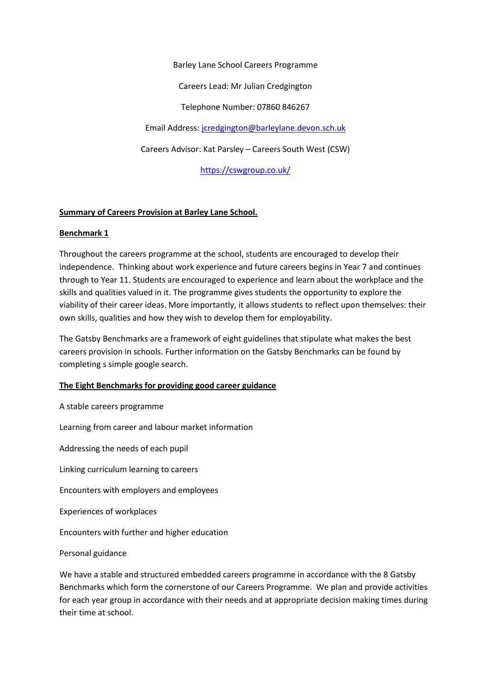Barley Lane School Careers Programme Careers Lead: Mr Julian Credgington Telephone Number: 07860 846267 Email Address[: jcredgington@barleylane.devon.sch.uk](mailto:djones@barleylane.devon.sch.uk) Careers Advisor: Kat Parsley – Careers South West (CSW)

<https://cswgroup.co.uk/>

# **Summary of Careers Provision at Barley Lane School.**

## **Benchmark 1**

Throughout the careers programme at the school, students are encouraged to develop their independence. Thinking about work experience and future careers begins in Year 7 and continues through to Year 11. Students are encouraged to experience and learn about the workplace and the skills and qualities valued in it. The programme gives students the opportunity to explore the viability of their career ideas. More importantly, it allows students to reflect upon themselves: their own skills, qualities and how they wish to develop them for employability.

The Gatsby Benchmarks are a framework of eight guidelines that stipulate what makes the best careers provision in schools. Further information on the Gatsby Benchmarks can be found by completing s simple google search.

## **The Eight Benchmarks for providing good career guidance**

A stable careers programme

Learning from career and labour market information

Addressing the needs of each pupil

Linking curriculum learning to careers

Encounters with employers and employees

Experiences of workplaces

Encounters with further and higher education

Personal guidance

We have a stable and structured embedded careers programme in accordance with the 8 Gatsby Benchmarks which form the cornerstone of our Careers Programme. We plan and provide activities for each year group in accordance with their needs and at appropriate decision making times during their time at school.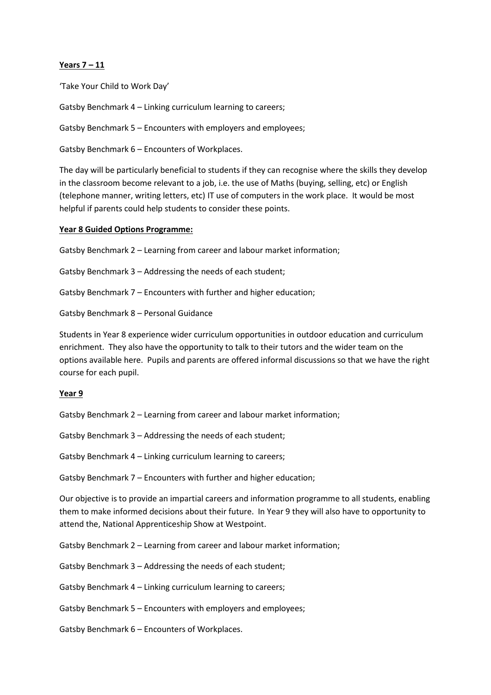## **Years 7 – 11**

'Take Your Child to Work Day'

Gatsby Benchmark 4 – Linking curriculum learning to careers;

Gatsby Benchmark 5 – Encounters with employers and employees;

Gatsby Benchmark 6 – Encounters of Workplaces.

The day will be particularly beneficial to students if they can recognise where the skills they develop in the classroom become relevant to a job, i.e. the use of Maths (buying, selling, etc) or English (telephone manner, writing letters, etc) IT use of computers in the work place. It would be most helpful if parents could help students to consider these points.

#### **Year 8 Guided Options Programme:**

Gatsby Benchmark 2 – Learning from career and labour market information;

Gatsby Benchmark 3 – Addressing the needs of each student;

Gatsby Benchmark 7 – Encounters with further and higher education;

Gatsby Benchmark 8 – Personal Guidance

Students in Year 8 experience wider curriculum opportunities in outdoor education and curriculum enrichment. They also have the opportunity to talk to their tutors and the wider team on the options available here. Pupils and parents are offered informal discussions so that we have the right course for each pupil.

#### **Year 9**

Gatsby Benchmark 2 – Learning from career and labour market information;

Gatsby Benchmark 3 – Addressing the needs of each student;

Gatsby Benchmark 4 – Linking curriculum learning to careers;

Gatsby Benchmark 7 – Encounters with further and higher education;

Our objective is to provide an impartial careers and information programme to all students, enabling them to make informed decisions about their future. In Year 9 they will also have to opportunity to attend the, National Apprenticeship Show at Westpoint.

Gatsby Benchmark 2 – Learning from career and labour market information;

Gatsby Benchmark 3 – Addressing the needs of each student;

Gatsby Benchmark 4 – Linking curriculum learning to careers;

Gatsby Benchmark 5 – Encounters with employers and employees;

Gatsby Benchmark 6 – Encounters of Workplaces.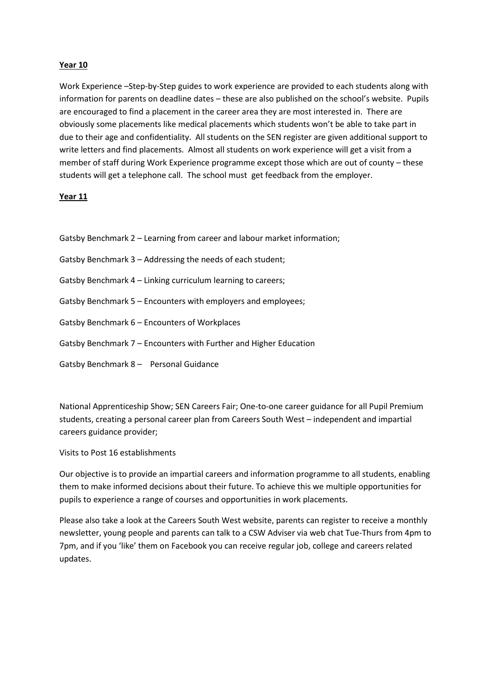## **Year 10**

Work Experience –Step-by-Step guides to work experience are provided to each students along with information for parents on deadline dates – these are also published on the school's website. Pupils are encouraged to find a placement in the career area they are most interested in. There are obviously some placements like medical placements which students won't be able to take part in due to their age and confidentiality. All students on the SEN register are given additional support to write letters and find placements. Almost all students on work experience will get a visit from a member of staff during Work Experience programme except those which are out of county – these students will get a telephone call. The school must get feedback from the employer.

## **Year 11**

| Gatsby Benchmark 2 – Learning from career and labour market information; |
|--------------------------------------------------------------------------|
| Gatsby Benchmark 3 – Addressing the needs of each student;               |
| Gatsby Benchmark 4 – Linking curriculum learning to careers;             |
| Gatsby Benchmark 5 – Encounters with employers and employees;            |
| Gatsby Benchmark 6 - Encounters of Workplaces                            |
| Gatsby Benchmark 7 – Encounters with Further and Higher Education        |
| Gatsby Benchmark 8 - Personal Guidance                                   |

National Apprenticeship Show; SEN Careers Fair; One-to-one career guidance for all Pupil Premium students, creating a personal career plan from Careers South West – independent and impartial careers guidance provider;

## Visits to Post 16 establishments

Our objective is to provide an impartial careers and information programme to all students, enabling them to make informed decisions about their future. To achieve this we multiple opportunities for pupils to experience a range of courses and opportunities in work placements.

Please also take a look at the Careers South West website, parents can register to receive a monthly newsletter, young people and parents can talk to a CSW Adviser via web chat Tue-Thurs from 4pm to 7pm, and if you 'like' them on Facebook you can receive regular job, college and careers related updates.